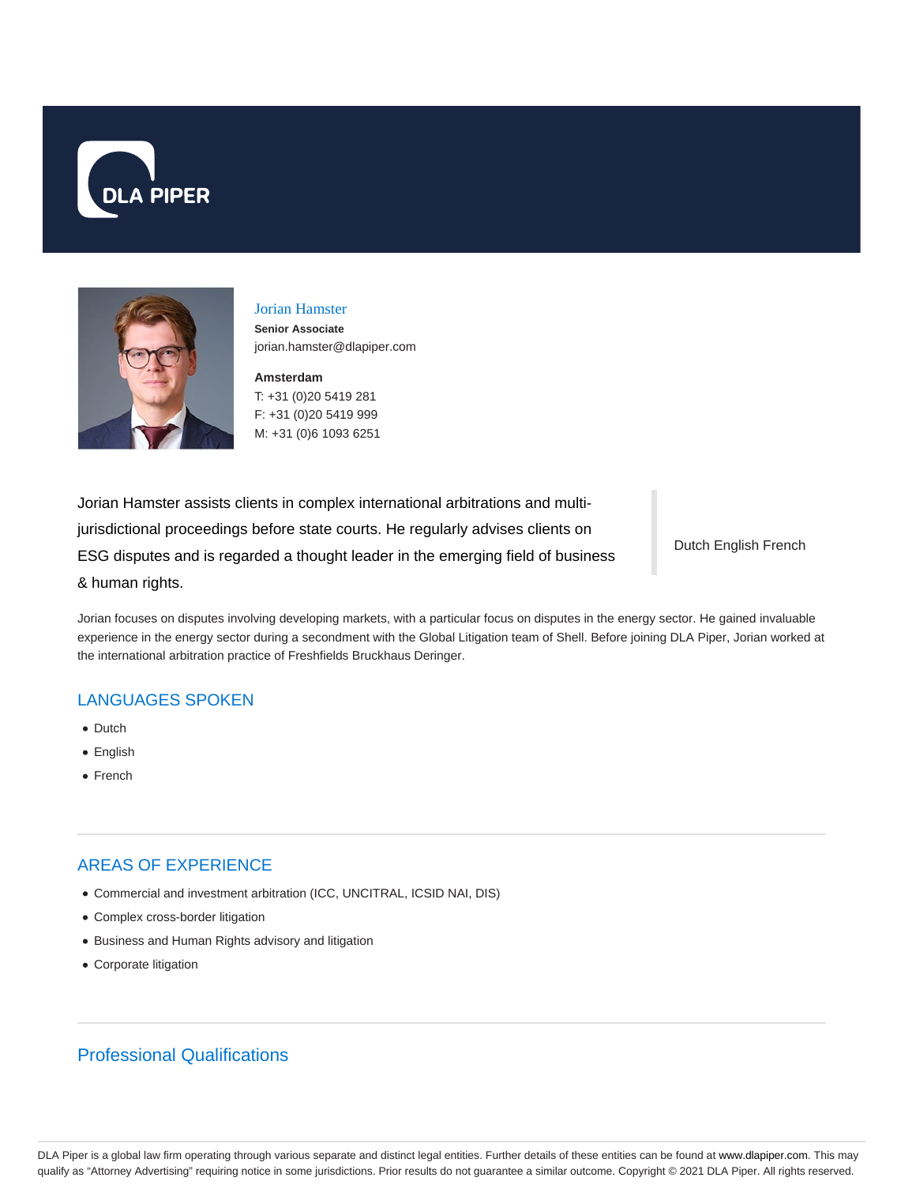



# Jorian Hamster

**Senior Associate** jorian.hamster@dlapiper.com

**Amsterdam** T: +31 (0)20 5419 281

F: +31 (0)20 5419 999 M: +31 (0)6 1093 6251

Jorian Hamster assists clients in complex international arbitrations and multijurisdictional proceedings before state courts. He regularly advises clients on ESG disputes and is regarded a thought leader in the emerging field of business & human rights.

Dutch English French

Jorian focuses on disputes involving developing markets, with a particular focus on disputes in the energy sector. He gained invaluable experience in the energy sector during a secondment with the Global Litigation team of Shell. Before joining DLA Piper, Jorian worked at the international arbitration practice of Freshfields Bruckhaus Deringer.

## LANGUAGES SPOKEN

- Dutch
- English
- French

# AREAS OF EXPERIENCE

- Commercial and investment arbitration (ICC, UNCITRAL, ICSID NAI, DIS)
- Complex cross-border litigation
- Business and Human Rights advisory and litigation
- Corporate litigation

# Professional Qualifications

DLA Piper is a global law firm operating through various separate and distinct legal entities. Further details of these entities can be found at www.dlapiper.com. This may qualify as "Attorney Advertising" requiring notice in some jurisdictions. Prior results do not guarantee a similar outcome. Copyright @ 2021 DLA Piper. All rights reserved.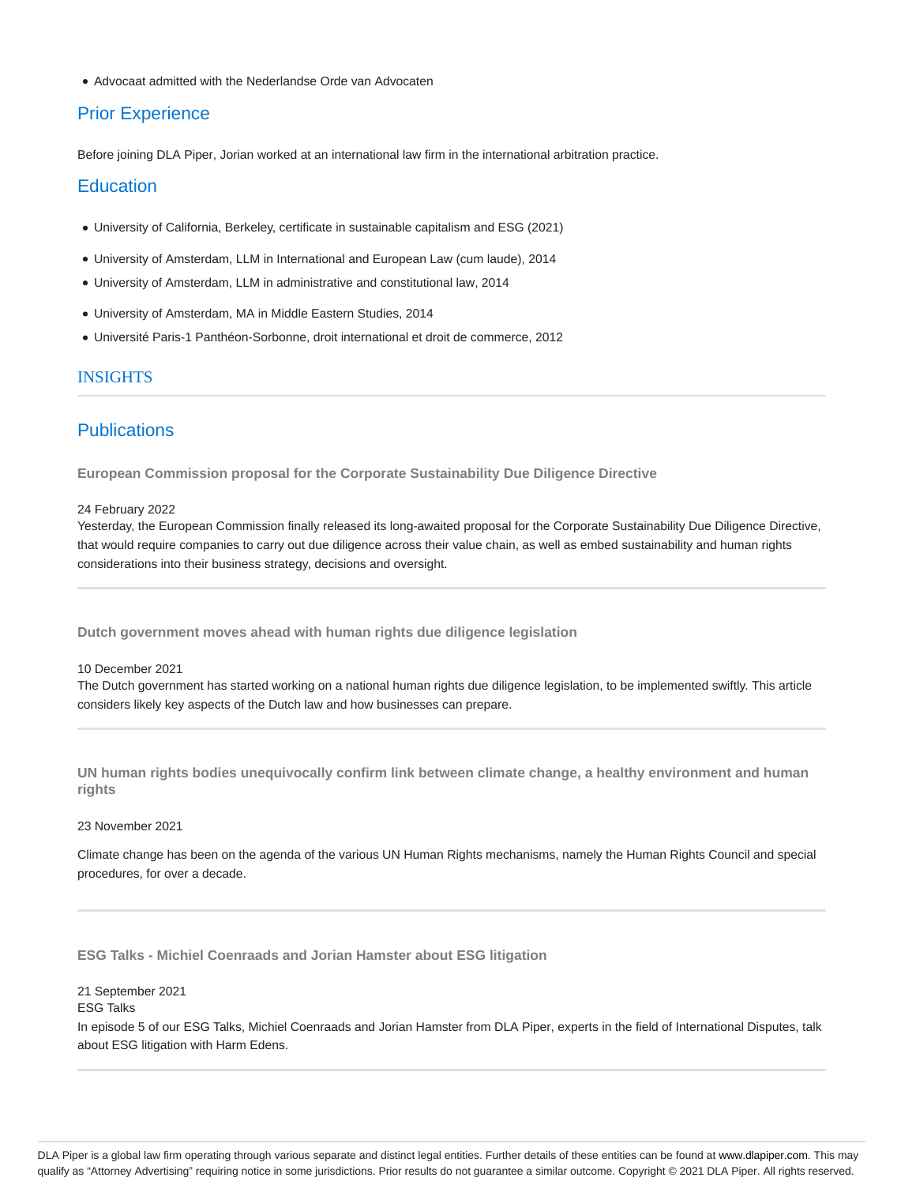Advocaat admitted with the Nederlandse Orde van Advocaten

### Prior Experience

Before joining DLA Piper, Jorian worked at an international law firm in the international arbitration practice.

### **Education**

- University of California, Berkeley, certificate in sustainable capitalism and ESG (2021)
- University of Amsterdam, LLM in International and European Law (cum laude), 2014
- University of Amsterdam, LLM in administrative and constitutional law, 2014
- University of Amsterdam, MA in Middle Eastern Studies, 2014
- Université Paris-1 Panthéon-Sorbonne, droit international et droit de commerce, 2012

### INSIGHTS

### **Publications**

**European Commission proposal for the Corporate Sustainability Due Diligence Directive**

### 24 February 2022

Yesterday, the European Commission finally released its long-awaited proposal for the Corporate Sustainability Due Diligence Directive, that would require companies to carry out due diligence across their value chain, as well as embed sustainability and human rights considerations into their business strategy, decisions and oversight.

**Dutch government moves ahead with human rights due diligence legislation**

### 10 December 2021

The Dutch government has started working on a national human rights due diligence legislation, to be implemented swiftly. This article considers likely key aspects of the Dutch law and how businesses can prepare.

**UN human rights bodies unequivocally confirm link between climate change, a healthy environment and human rights**

#### 23 November 2021

Climate change has been on the agenda of the various UN Human Rights mechanisms, namely the Human Rights Council and special procedures, for over a decade.

**ESG Talks - Michiel Coenraads and Jorian Hamster about ESG litigation**

#### 21 September 2021

### ESG Talks

In episode 5 of our ESG Talks, Michiel Coenraads and Jorian Hamster from DLA Piper, experts in the field of International Disputes, talk about ESG litigation with Harm Edens.